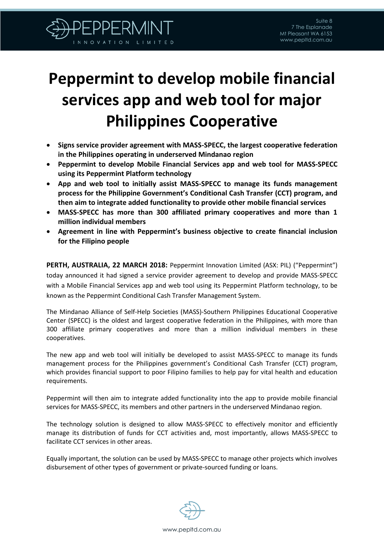

## **Peppermint to develop mobile financial services app and web tool for major Philippines Cooperative**

- **Signs service provider agreement with MASS-SPECC, the largest cooperative federation in the Philippines operating in underserved Mindanao region**
- **Peppermint to develop Mobile Financial Services app and web tool for MASS-SPECC using its Peppermint Platform technology**
- **App and web tool to initially assist MASS-SPECC to manage its funds management process for the Philippine Government's Conditional Cash Transfer (CCT) program, and then aim to integrate added functionality to provide other mobile financial services**
- **MASS-SPECC has more than 300 affiliated primary cooperatives and more than 1 million individual members**
- **Agreement in line with Peppermint's business objective to create financial inclusion for the Filipino people**

**PERTH, AUSTRALIA, 22 MARCH 2018:** Peppermint Innovation Limited (ASX: PIL) ("Peppermint") today announced it had signed a service provider agreement to develop and provide MASS-SPECC with a Mobile Financial Services app and web tool using its Peppermint Platform technology, to be known as the Peppermint Conditional Cash Transfer Management System.

The Mindanao Alliance of Self-Help Societies (MASS)-Southern Philippines Educational Cooperative Center (SPECC) is the oldest and largest cooperative federation in the Philippines, with more than 300 affiliate primary cooperatives and more than a million individual members in these cooperatives.

The new app and web tool will initially be developed to assist MASS-SPECC to manage its funds management process for the Philippines government's Conditional Cash Transfer (CCT) program, which provides financial support to poor Filipino families to help pay for vital health and education requirements.

Peppermint will then aim to integrate added functionality into the app to provide mobile financial services for MASS-SPECC, its members and other partners in the underserved Mindanao region.

The technology solution is designed to allow MASS-SPECC to effectively monitor and efficiently manage its distribution of funds for CCT activities and, most importantly, allows MASS-SPECC to facilitate CCT services in other areas.

Equally important, the solution can be used by MASS-SPECC to manage other projects which involves disbursement of other types of government or private-sourced funding or loans.